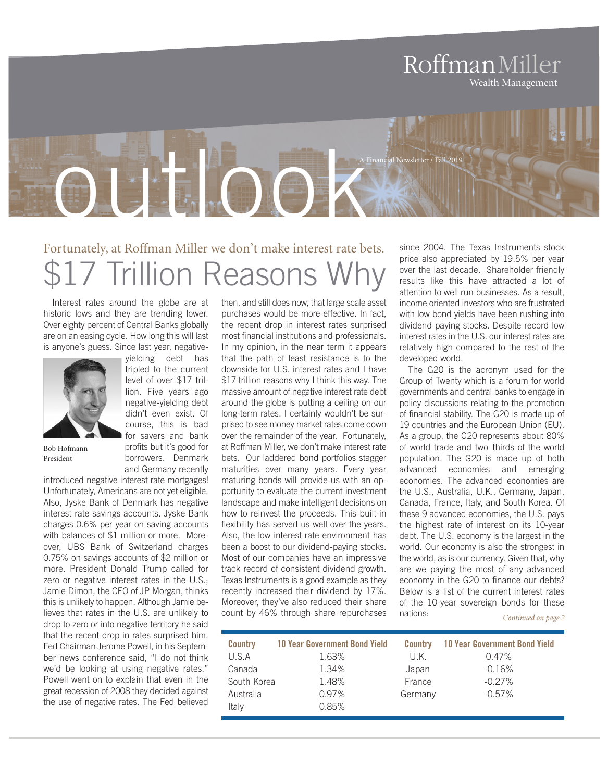## RoffmanMiller Wealth Management

## outlook A Financial Newsletter / Fall 2019

## Fortunately, at Roffman Miller we don't make interest rate bets. **7 Trillion Reasons**

Interest rates around the globe are at historic lows and they are trending lower. Over eighty percent of Central Banks globally are on an easing cycle. How long this will last is anyone's guess. Since last year, negativeyielding debt has

> tripled to the current level of over \$17 trillion. Five years ago negative-yielding debt didn't even exist. Of course, this is bad for savers and bank profits but it's good for borrowers. Denmark



Bob Hofmann President

and Germany recently introduced negative interest rate mortgages! Unfortunately, Americans are not yet eligible. Also, Jyske Bank of Denmark has negative interest rate savings accounts. Jyske Bank charges 0.6% per year on saving accounts with balances of \$1 million or more. Moreover, UBS Bank of Switzerland charges 0.75% on savings accounts of \$2 million or more. President Donald Trump called for zero or negative interest rates in the U.S.; Jamie Dimon, the CEO of JP Morgan, thinks this is unlikely to happen. Although Jamie believes that rates in the U.S. are unlikely to drop to zero or into negative territory he said that the recent drop in rates surprised him. Fed Chairman Jerome Powell, in his September news conference said, "I do not think we'd be looking at using negative rates." Powell went on to explain that even in the great recession of 2008 they decided against the use of negative rates. The Fed believed

then, and still does now, that large scale asset purchases would be more effective. In fact, the recent drop in interest rates surprised most financial institutions and professionals. In my opinion, in the near term it appears that the path of least resistance is to the downside for U.S. interest rates and I have \$17 trillion reasons why I think this way. The massive amount of negative interest rate debt around the globe is putting a ceiling on our long-term rates. I certainly wouldn't be surprised to see money market rates come down over the remainder of the year. Fortunately, at Roffman Miller, we don't make interest rate bets. Our laddered bond portfolios stagger maturities over many years. Every year maturing bonds will provide us with an opportunity to evaluate the current investment landscape and make intelligent decisions on how to reinvest the proceeds. This built-in flexibility has served us well over the years. Also, the low interest rate environment has been a boost to our dividend-paying stocks. Most of our companies have an impressive track record of consistent dividend growth. Texas Instruments is a good example as they recently increased their dividend by 17%. Moreover, they've also reduced their share count by 46% through share repurchases

since 2004. The Texas Instruments stock price also appreciated by 19.5% per year over the last decade. Shareholder friendly results like this have attracted a lot of attention to well run businesses. As a result, income oriented investors who are frustrated with low bond yields have been rushing into dividend paying stocks. Despite record low interest rates in the U.S. our interest rates are relatively high compared to the rest of the developed world.

The G20 is the acronym used for the Group of Twenty which is a forum for world governments and central banks to engage in policy discussions relating to the promotion of financial stability. The G20 is made up of 19 countries and the European Union (EU). As a group, the G20 represents about 80% of world trade and two–thirds of the world population. The G20 is made up of both advanced economies and emerging economies. The advanced economies are the U.S., Australia, U.K., Germany, Japan, Canada, France, Italy, and South Korea. Of these 9 advanced economies, the U.S. pays the highest rate of interest on its 10-year debt. The U.S. economy is the largest in the world. Our economy is also the strongest in the world, as is our currency. Given that, why are we paying the most of any advanced economy in the G20 to finance our debts? Below is a list of the current interest rates of the 10-year sovereign bonds for these nations: *Continued on page 2*

| <b>Country</b> | <b>10 Year Government Bond Yield</b> | <b>Country</b> | <b>10 Year Government Bond Yield</b> |
|----------------|--------------------------------------|----------------|--------------------------------------|
| U.S.A          | 1.63%                                | U.K.           | $0.47\%$                             |
| Canada         | 1.34%                                | Japan          | $-0.16%$                             |
| South Korea    | 1.48%                                | France         | $-0.27\%$                            |
| Australia      | 0.97%                                | Germany        | $-0.57\%$                            |
| Italy          | 0.85%                                |                |                                      |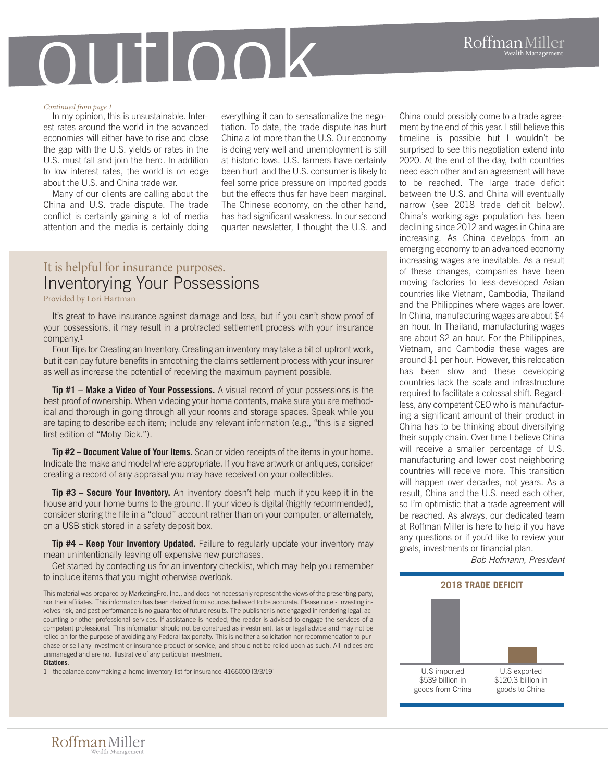# outlook

#### *Continued from page 1*

In my opinion, this is unsustainable. Interest rates around the world in the advanced economies will either have to rise and close the gap with the U.S. yields or rates in the U.S. must fall and join the herd. In addition to low interest rates, the world is on edge about the U.S. and China trade war.

Many of our clients are calling about the China and U.S. trade dispute. The trade conflict is certainly gaining a lot of media attention and the media is certainly doing everything it can to sensationalize the negotiation. To date, the trade dispute has hurt China a lot more than the U.S. Our economy is doing very well and unemployment is still at historic lows. U.S. farmers have certainly been hurt and the U.S. consumer is likely to feel some price pressure on imported goods but the effects thus far have been marginal. The Chinese economy, on the other hand, has had significant weakness. In our second quarter newsletter, I thought the U.S. and

### It is helpful for insurance purposes. Inventorying Your Possessions

Provided by Lori Hartman

It's great to have insurance against damage and loss, but if you can't show proof of your possessions, it may result in a protracted settlement process with your insurance company.1

Four Tips for Creating an Inventory. Creating an inventory may take a bit of upfront work, but it can pay future benefits in smoothing the claims settlement process with your insurer as well as increase the potential of receiving the maximum payment possible.

**Tip #1 – Make a Video of Your Possessions.** A visual record of your possessions is the best proof of ownership. When videoing your home contents, make sure you are methodical and thorough in going through all your rooms and storage spaces. Speak while you are taping to describe each item; include any relevant information (e.g., "this is a signed first edition of "Moby Dick.").

**Tip #2 – Document Value of Your Items.** Scan or video receipts of the items in your home. Indicate the make and model where appropriate. If you have artwork or antiques, consider creating a record of any appraisal you may have received on your collectibles.

**Tip #3 – Secure Your Inventory.** An inventory doesn't help much if you keep it in the house and your home burns to the ground. If your video is digital (highly recommended), consider storing the file in a "cloud" account rather than on your computer, or alternately, on a USB stick stored in a safety deposit box.

**Tip #4 – Keep Your Inventory Updated.** Failure to regularly update your inventory may mean unintentionally leaving off expensive new purchases.

Get started by contacting us for an inventory checklist, which may help you remember to include items that you might otherwise overlook.

This material was prepared by MarketingPro, Inc., and does not necessarily represent the views of the presenting party, nor their affiliates. This information has been derived from sources believed to be accurate. Please note - investing involves risk, and past performance is no guarantee of future results. The publisher is not engaged in rendering legal, accounting or other professional services. If assistance is needed, the reader is advised to engage the services of a competent professional. This information should not be construed as investment, tax or legal advice and may not be relied on for the purpose of avoiding any Federal tax penalty. This is neither a solicitation nor recommendation to purchase or sell any investment or insurance product or service, and should not be relied upon as such. All indices are unmanaged and are not illustrative of any particular investment.

#### **Citations**.

1 - thebalance.com/making-a-home-inventory-list-for-insurance-4166000 [3/3/19]

China could possibly come to a trade agreement by the end of this year. I still believe this timeline is possible but I wouldn't be surprised to see this negotiation extend into 2020. At the end of the day, both countries need each other and an agreement will have to be reached. The large trade deficit between the U.S. and China will eventually narrow (see 2018 trade deficit below). China's working-age population has been declining since 2012 and wages in China are increasing. As China develops from an emerging economy to an advanced economy increasing wages are inevitable. As a result of these changes, companies have been moving factories to less-developed Asian countries like Vietnam, Cambodia, Thailand and the Philippines where wages are lower. In China, manufacturing wages are about \$4 an hour. In Thailand, manufacturing wages are about \$2 an hour. For the Philippines, Vietnam, and Cambodia these wages are around \$1 per hour. However, this relocation has been slow and these developing countries lack the scale and infrastructure required to facilitate a colossal shift. Regardless, any competent CEO who is manufacturing a significant amount of their product in China has to be thinking about diversifying their supply chain. Over time I believe China will receive a smaller percentage of U.S. manufacturing and lower cost neighboring countries will receive more. This transition will happen over decades, not years. As a result, China and the U.S. need each other, so I'm optimistic that a trade agreement will be reached. As always, our dedicated team at Roffman Miller is here to help if you have any questions or if you'd like to review your goals, investments or financial plan. *Bob Hofmann, President*

**2018 TRADE DEFICIT** U.S exported U.S imported

\$539 billion in goods from China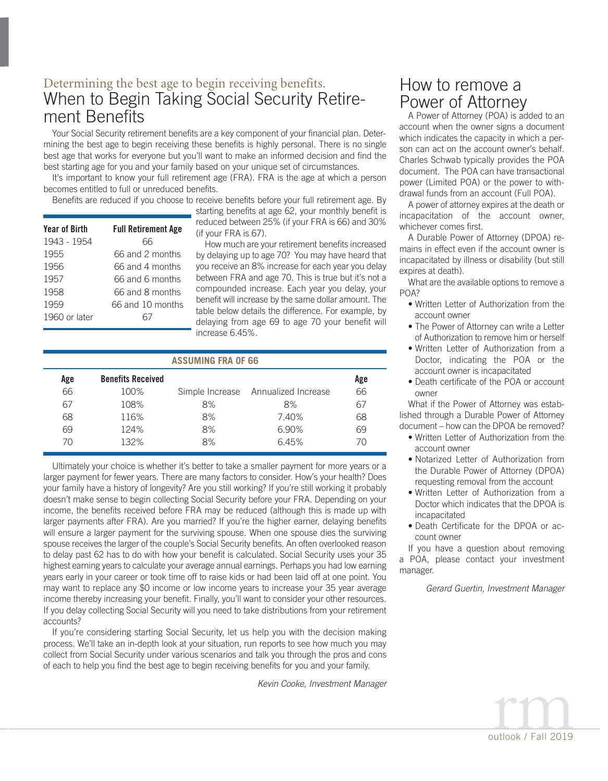### Determining the best age to begin receiving benefits. When to Begin Taking Social Security Retirement Benefits

Your Social Security retirement benefits are a key component of your financial plan. Determining the best age to begin receiving these benefits is highly personal. There is no single best age that works for everyone but you'll want to make an informed decision and find the best starting age for you and your family based on your unique set of circumstances.

It's important to know your full retirement age (FRA). FRA is the age at which a person becomes entitled to full or unreduced benefits.

Benefits are reduced if you choose to receive benefits before your full retirement age. By

| <b>Year of Birth</b> | <b>Full Retirement Age</b> |
|----------------------|----------------------------|
| 1943 - 1954          | 66                         |
| 1955                 | 66 and 2 months            |
| 1956                 | 66 and 4 months            |
| 1957                 | 66 and 6 months            |
| 1958                 | 66 and 8 months            |
| 1959                 | 66 and 10 months           |
| 1960 or later        |                            |
|                      |                            |

starting benefits at age 62, your monthly benefit is reduced between 25% (if your FRA is 66) and 30% (if your FRA is 67).

How much are your retirement benefits increased by delaying up to age 70? You may have heard that you receive an 8% increase for each year you delay between FRA and age 70. This is true but it's not a compounded increase. Each year you delay, your benefit will increase by the same dollar amount. The table below details the difference. For example, by delaying from age 69 to age 70 your benefit will increase 6.45%.

| <b>ASSUMING FRA OF 66</b> |                          |    |                                     |     |  |  |  |  |
|---------------------------|--------------------------|----|-------------------------------------|-----|--|--|--|--|
| Age                       | <b>Benefits Received</b> |    |                                     | Age |  |  |  |  |
| 66                        | 100%                     |    | Simple Increase Annualized Increase | 66  |  |  |  |  |
| 67                        | 108%                     | 8% | 8%                                  | 67  |  |  |  |  |
| 68                        | 116%                     | 8% | 7.40%                               | 68  |  |  |  |  |
| 69                        | 124%                     | 8% | 6.90%                               | 69  |  |  |  |  |
| 7Λ                        | 132%                     | 8% | 6.45%                               | 70  |  |  |  |  |

Ultimately your choice is whether it's better to take a smaller payment for more years or a larger payment for fewer years. There are many factors to consider. How's your health? Does your family have a history of longevity? Are you still working? If you're still working it probably doesn't make sense to begin collecting Social Security before your FRA. Depending on your income, the benefits received before FRA may be reduced (although this is made up with larger payments after FRA). Are you married? If you're the higher earner, delaying benefits will ensure a larger payment for the surviving spouse. When one spouse dies the surviving spouse receives the larger of the couple's Social Security benefits. An often overlooked reason to delay past 62 has to do with how your benefit is calculated. Social Security uses your 35 highest earning years to calculate your average annual earnings. Perhaps you had low earning years early in your career or took time off to raise kids or had been laid off at one point. You may want to replace any \$0 income or low income years to increase your 35 year average income thereby increasing your benefit. Finally, you'll want to consider your other resources. If you delay collecting Social Security will you need to take distributions from your retirement accounts?

If you're considering starting Social Security, let us help you with the decision making process. We'll take an in-depth look at your situation, run reports to see how much you may collect from Social Security under various scenarios and talk you through the pros and cons of each to help you find the best age to begin receiving benefits for you and your family.

*Kevin Cooke, Investment Manager*

## How to remove a Power of Attorney

A Power of Attorney (POA) is added to an account when the owner signs a document which indicates the capacity in which a person can act on the account owner's behalf. Charles Schwab typically provides the POA document. The POA can have transactional power (Limited POA) or the power to withdrawal funds from an account (Full POA).

A power of attorney expires at the death or incapacitation of the account owner, whichever comes first.

A Durable Power of Attorney (DPOA) remains in effect even if the account owner is incapacitated by illness or disability (but still expires at death).

What are the available options to remove a  $P<sub>0</sub>A$ ?

- Written Letter of Authorization from the account owner
- The Power of Attorney can write a Letter of Authorization to remove him or herself
- Written Letter of Authorization from a Doctor, indicating the POA or the account owner is incapacitated
- Death certificate of the POA or account owner

What if the Power of Attorney was established through a Durable Power of Attorney document – how can the DPOA be removed?

- Written Letter of Authorization from the account owner
- Notarized Letter of Authorization from the Durable Power of Attorney (DPOA) requesting removal from the account
- Written Letter of Authorization from a Doctor which indicates that the DPOA is incapacitated
- Death Certificate for the DPOA or account owner

If you have a question about removing a POA, please contact your investment manager.

*Gerard Guertin, Investment Manager*